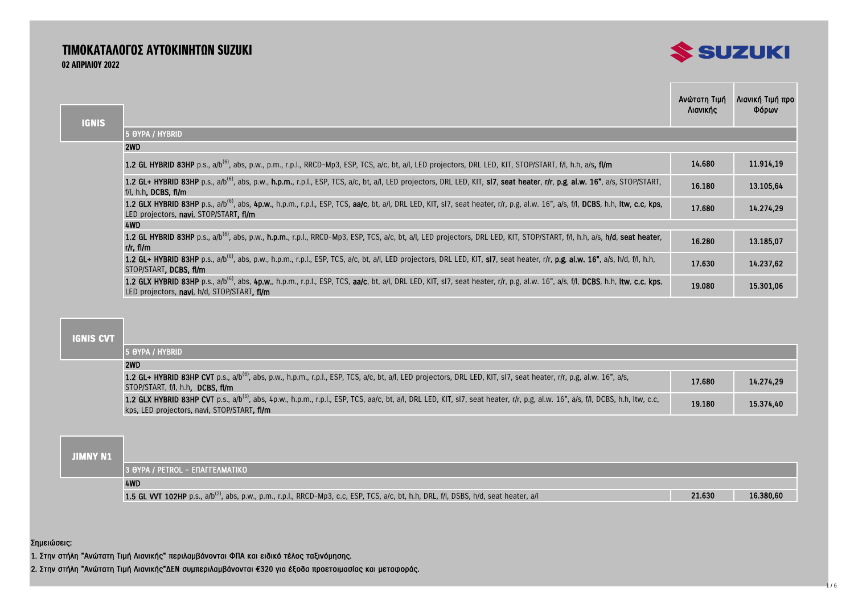# ΤΙΜΟΚΑΤΑΛΟΓΟΣ ΑΥΤΟΚΙΝΗΤΩΝ SUZUKI 02 ΑΠΡΙΛΙΟΥ 2022



| <b>IGNIS</b> |                                                                                                                                                                                                                                             | Ανώτατη Τιμή<br>Λιανικής | Λιανική Τιμή προ<br>Φόρων |
|--------------|---------------------------------------------------------------------------------------------------------------------------------------------------------------------------------------------------------------------------------------------|--------------------------|---------------------------|
|              | 5 OYPA / HYBRID                                                                                                                                                                                                                             |                          |                           |
|              | 2WD                                                                                                                                                                                                                                         |                          |                           |
|              | 1.2 GL HYBRID 83HP p.s., a/b <sup>(6)</sup> , abs, p.w., p.m., r.p.l., RRCD-Mp3, ESP, TCS, a/c, bt, a/l, LED projectors, DRL LED, KIT, STOP/START, f/l, h.h, a/s, fl/m                                                                      | 14.680                   | 11.914,19                 |
|              | 1.2 GL+ HYBRID 83HP p.s., a/b <sup>(6)</sup> , abs, p.w., h.p.m., r.p.l., ESP, TCS, a/c, bt, a/l, LED projectors, DRL LED, KIT, sl7, seat heater, r/r, p.g, al.w. 16", a/s, STOP/START,<br>$f/l$ , h.h. DCBS, fl/m                          | 16.180                   | 13.105,64                 |
|              | 1.2 GLX HYBRID 83HP p.s., a/b <sup>(6)</sup> , abs, 4p.w., h.p.m., r.p.l., ESP, TCS, aa/c, bt, a/l, DRL LED, KIT, sI7, seat heater, r/r, p.g, al.w. 16", a/s, f/l, DCBS, h.h, Itw, c.c, kps,<br>LED projectors, navi, STOP/START, fl/m      | 17.680                   | 14.274.29                 |
|              | 4WD                                                                                                                                                                                                                                         |                          |                           |
|              | 1.2 GL HYBRID 83HP p.s., a/b <sup>(6)</sup> , abs, p.w., h.p.m., r.p.l., RRCD-Mp3, ESP, TCS, a/c, bt, a/l, LED projectors, DRL LED, KIT, STOP/START, f/l, h.h, a/s, h/d, seat heater,<br>$r/r$ , fl/m                                       | 16.280                   | 13.185,07                 |
|              | 1.2 GL+ HYBRID 83HP p.s., a/b <sup>(6)</sup> , abs, p.w., h.p.m., r.p.l., ESP, TCS, a/c, bt, a/l, LED projectors, DRL LED, KIT, sl7, seat heater, r/r, p.g, al.w. 16", a/s, h/d, f/l, h.h,<br>STOP/START, DCBS, fl/m                        | 17.630                   | 14.237,62                 |
|              | 1.2 GLX HYBRID 83HP p.s., a/b <sup>(6)</sup> , abs, 4p.w., h.p.m., r.p.l., ESP, TCS, aa/c, bt, a/l, DRL LED, KIT, sI7, seat heater, r/r, p.g, al.w. 16", a/s, f/l, DCBS, h.h, ltw, c.c, kps,<br>LED projectors, navi, h/d, STOP/START, fl/m | 19.080                   | 15.301,06                 |

## **IGNIS CVT**

| 15 Oypa / Hybrid                                                                                                                                                                                                                           |        |           |
|--------------------------------------------------------------------------------------------------------------------------------------------------------------------------------------------------------------------------------------------|--------|-----------|
| 2WD                                                                                                                                                                                                                                        |        |           |
| 1.2 GL+ HYBRID 83HP CVT p.s., a/b <sup>(6)</sup> , abs, p.w., h.p.m., r.p.l., ESP, TCS, a/c, bt, a/l, LED projectors, DRL LED, KIT, sl7, seat heater, r/r, p.g, al.w. 16", a/s,<br>STOP/START, f/l, h.h. DCBS. fl/m                        | 17.680 | 14.274.29 |
| 1.2 GLX HYBRID 83HP CVT p.s., a/b <sup>(6)</sup> , abs, 4p.w., h.p.m., r.p.l., ESP, TCS, aa/c, bt, a/l, DRL LED, KIT, sl7, seat heater, r/r, p.g, al.w. 16", a/s, f/l, DCBS, h.h, Itw, c.c,<br>kps, LED projectors, navi, STOP/START, fl/m | 19.180 | 15.374.40 |

## **JIMNY N1**

| \ 3 ӨҮРА / PETROL - ЕПАГГЕЛМАТІКО \                                                                                                        |        |           |
|--------------------------------------------------------------------------------------------------------------------------------------------|--------|-----------|
| 4WD                                                                                                                                        |        |           |
| 1.5 GL VVT 102HP p.s., $a/b^{(2)}$ , abs, p.w., p.m., r.p.l., RRCD-Mp3, c.c, ESP, TCS, a/c, bt, h.h, DRL, f/l, DSBS, h/d, seat heater, a/l | 21.630 | 16.380,60 |

### Σημειώσεις:

1. Στην στήλη "Ανώτατη Τιμή Λιανικής" περιλαμβάνονται ΦΠΑ και ειδικό τέλος ταξινόμησης.

2. Στην στήλη "Ανώτατη Τιμή Λιανικής"ΔΕΝ συμπεριλαμβάνονται €320 για έξοδα προετοιμασίας και μεταφοράς.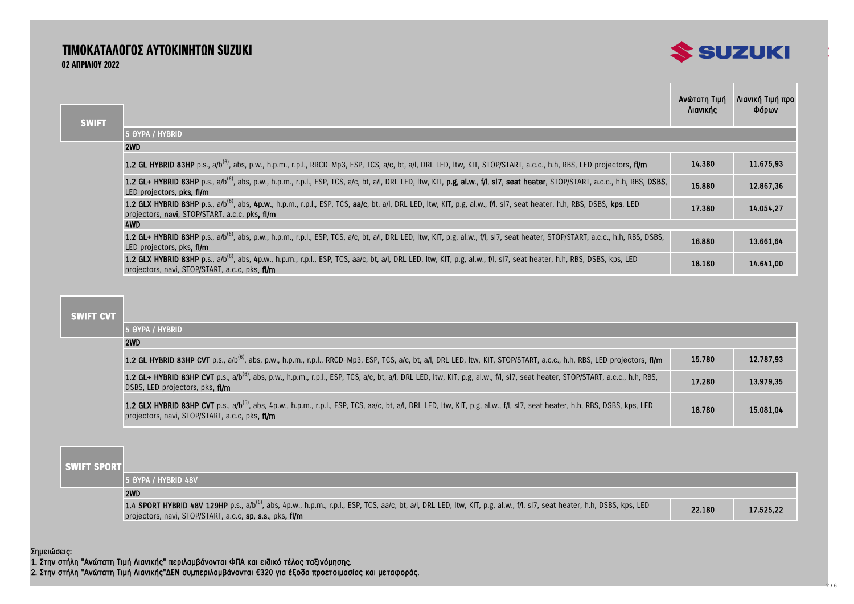# ΤΙΜΟΚΑΤΑΛΟΓΟΣ ΑΥΤΟΚΙΝΗΤΩΝ SUZUKI 02 ΑΠΡΙΛΙΟΥ 2022



|              |                                                                                                                                                                                                                                      | Ανώτατη Τιμή | Λιανική Τιμή προ |
|--------------|--------------------------------------------------------------------------------------------------------------------------------------------------------------------------------------------------------------------------------------|--------------|------------------|
| <b>SWIFT</b> |                                                                                                                                                                                                                                      | Λιανικής     | Φόρων            |
|              | 15 OYPA / HYBRID                                                                                                                                                                                                                     |              |                  |
|              | 2WD                                                                                                                                                                                                                                  |              |                  |
|              | 1.2 GL HYBRID 83HP p.s., a/b <sup>(6)</sup> , abs, p.w., h.p.m., r.p.l., RRCD-Mp3, ESP, TCS, a/c, bt, a/l, DRL LED, Itw, KIT, STOP/START, a.c.c., h.h, RBS, LED projectors, fl/m                                                     | 14.380       | 11.675.93        |
|              | 1.2 GL+ HYBRID 83HP p.s., a/b <sup>(6)</sup> , abs, p.w., h.p.m., r.p.l., ESP, TCS, a/c, bt, a/l, DRL LED, Itw, KIT, p.g, al.w., f/l, sl7, seat heater, STOP/START, a.c.c., h.h, RBS, DSBS,<br>LED projectors, <b>pks, fl/m</b>      | 15,880       | 12.867,36        |
|              | 1.2 GLX HYBRID 83HP p.s., a/b <sup>(6)</sup> , abs, 4p.w., h.p.m., r.p.l., ESP, TCS, aa/c, bt, a/l, DRL LED, Itw, KIT, p.g, al.w., f/l, sI7, seat heater, h.h, RBS, DSBS, kps, LED<br>projectors, navi. STOP/START, a.c.c. pks. fl/m | 17.380       | 14.054.27        |
|              | 4WD                                                                                                                                                                                                                                  |              |                  |
|              | 1.2 GL+ HYBRID 83HP p.s., a/b <sup>(6)</sup> , abs, p.w., h.p.m., r.p.l., ESP, TCS, a/c, bt, a/l, DRL LED, Itw, KIT, p.g, al.w., f/l, sl7, seat heater, STOP/START, a.c.c., h.h, RBS, DSBS,<br>LED projectors, pks, fl/m             | 16.880       | 13.661.64        |
|              | 1.2 GLX HYBRID 83HP p.s., a/b <sup>(6)</sup> , abs, 4p.w., h.p.m., r.p.l., ESP, TCS, aa/c, bt, a/l, DRL LED, ltw, KIT, p.g, al.w., f/l, sl7, seat heater, h.h, RBS, DSBS, kps, LED<br>projectors, navi, STOP/START, a.c.c, pks, fl/m | 18.180       | 14.641,00        |

## **SWIFT CVT**

π

| 15 OYPA / HYBRID                                                                                                                                                                                                                         |        |           |
|------------------------------------------------------------------------------------------------------------------------------------------------------------------------------------------------------------------------------------------|--------|-----------|
| 2WD                                                                                                                                                                                                                                      |        |           |
| 1.2 GL HYBRID 83HP CVT p.s., a/b <sup>(6)</sup> , abs, p.w., h.p.m., r.p.l., RRCD-Mp3, ESP, TCS, a/c, bt, a/l, DRL LED, Itw, KIT, STOP/START, a.c.c., h.h, RBS, LED projectors, fi/m                                                     | 15.780 | 12.787,93 |
| 1.2 GL+ HYBRID 83HP CVT p.s., a/b <sup>(6)</sup> , abs, p.w., h.p.m., r.p.l., ESP, TCS, a/c, bt, a/l, DRL LED, Itw, KIT, p.g, al.w., f/l, sl7, seat heater, STOP/START, a.c.c., h.h, RBS,<br>DSBS, LED projectors, pks, fl/m             | 17.280 | 13.979.35 |
| 1.2 GLX HYBRID 83HP CVT p.s., a/b <sup>(6)</sup> , abs, 4p.w., h.p.m., r.p.l., ESP, TCS, aa/c, bt, a/l, DRL LED, Itw, KIT, p.g, al.w., f/l, sl7, seat heater, h.h, RBS, DSBS, kps, LED<br>projectors, navi, STOP/START, a.c.c. pks. fl/m | 18.780 | 15.081.04 |

 **SWIFT SPORT**

| 15 AYPA / HYBRID 48V                                                                                                                                                                                                                             |        |           |
|--------------------------------------------------------------------------------------------------------------------------------------------------------------------------------------------------------------------------------------------------|--------|-----------|
| 2WD                                                                                                                                                                                                                                              |        |           |
| 1.4 SPORT HYBRID 48V 129HP p.s., a/b <sup>(6)</sup> , abs, 4p.w., h.p.m., r.p.l., ESP, TCS, aa/c, bt, a/l, DRL LED, Itw, KIT, p.g, al.w., f/l, sl7, seat heater, h.h, DSBS, kps, LED<br>projectors, navi, STOP/START, a.c.c, sp, s.s., pks, fl/m | 22.180 | 17.525.22 |

Σημειώσεις:

1. Στην στήλη "Ανώτατη Τιμή Λιανικής" περιλαμβάνονται ΦΠΑ και ειδικό τέλος ταξινόμησης.

2. Στην στήλη "Ανώτατη Τιμή Λιανικής"ΔΕΝ συμπεριλαμβάνονται €320 για έξοδα προετοιμασίας και μεταφοράς.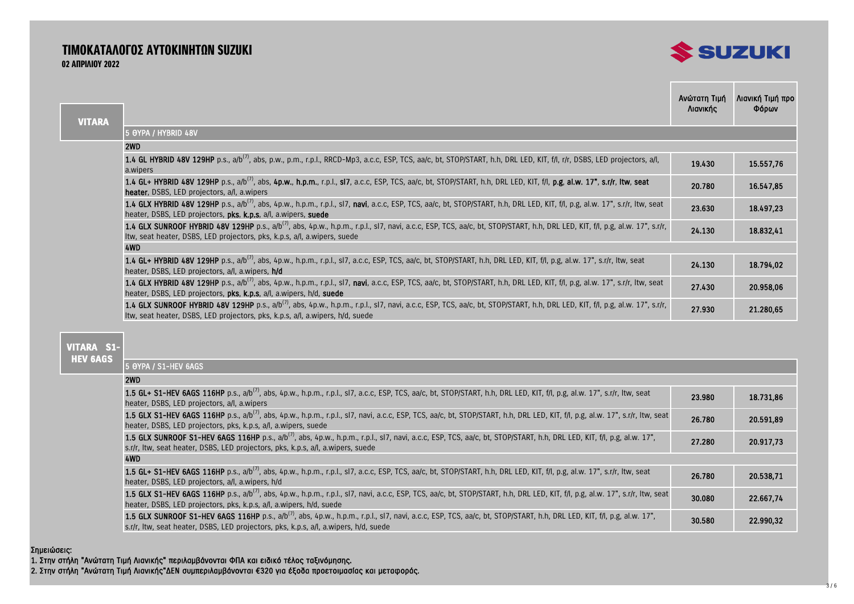# ΤΙΜΟΚΑΤΑΛΟΓΟΣ ΑΥΤΟΚΙΝΗΤΩΝ SUZUKI 02 ΑΠΡΙΛΙΟΥ 2022



| <b>VITARA</b> |                                                                                                                                                                                                                                                                           | Ανώτατη Τιμή<br>Λιανικής | Λιανική Τιμή προ<br>Φόρων |
|---------------|---------------------------------------------------------------------------------------------------------------------------------------------------------------------------------------------------------------------------------------------------------------------------|--------------------------|---------------------------|
|               | 5 OYPA / HYBRID 48V                                                                                                                                                                                                                                                       |                          |                           |
|               | 2WD                                                                                                                                                                                                                                                                       |                          |                           |
|               | 1.4 GL HYBRID 48V 129HP p.s., a/b <sup>(7)</sup> , abs, p.w., p.m., r.p.l., RRCD-Mp3, a.c.c, ESP, TCS, aa/c, bt, STOP/START, h.h, DRL LED, KIT, f/l, r/r, DSBS, LED projectors, a/l,<br>a.wipers                                                                          | 19.430                   | 15.557,76                 |
|               | 1.4 GL+ HYBRID 48V 129HP p.s., a/b <sup>(7)</sup> , abs, 4p.w., h.p.m., r.p.l., sl7, a.c.c, ESP, TCS, aa/c, bt, STOP/START, h.h, DRL LED, KIT, f/l, p.g, al.w. 17", s.r/r, Itw, seat<br><b>heater.</b> DSBS, LED projectors, a/l, a.wipers                                | 20.780                   | 16.547,85                 |
|               | 1.4 GLX HYBRID 48V 129HP p.s., a/b <sup>(7)</sup> , abs, 4p.w., h.p.m., r.p.l., sl7, navi, a.c.c, ESP, TCS, aa/c, bt, STOP/START, h.h, DRL LED, KIT, f/l, p.g, al.w. 17", s.r/r, Itw, seat<br>heater, DSBS, LED projectors, pks, k.p.s, a/l, a.wipers, suede              | 23.630                   | 18.497,23                 |
|               | 1.4 GLX SUNROOF HYBRID 48V 129HP p.s., a/b <sup>(7)</sup> , abs, 4p.w., h.p.m., r.p.l., sl7, navi, a.c.c, ESP, TCS, aa/c, bt, STOP/START, h.h, DRL LED, KIT, f/l, p.g, al.w. 17", s.r/r,<br>Itw, seat heater, DSBS, LED projectors, pks, k.p.s, a/l, a.wipers, suede      | 24.130                   | 18.832,41                 |
|               | 4WD                                                                                                                                                                                                                                                                       |                          |                           |
|               | <b>1.4 GL+ HYBRID 48V 129HP</b> p.s., a/b <sup>(7)</sup> , abs, 4p.w., h.p.m., r.p.l., sl7, a.c.c, ESP, TCS, aa/c, bt, STOP/START, h.h, DRL LED, KIT, f/l, p.g, al.w. 17", s.r/r, Itw, seat<br>heater, DSBS, LED projectors, a/l, a.wipers, h/d                           | 24.130                   | 18.794,02                 |
|               | 1.4 GLX HYBRID 48V 129HP p.s., a/b <sup>(7)</sup> , abs, 4p.w., h.p.m., r.p.l., sl7, navi, a.c.c, ESP, TCS, aa/c, bt, STOP/START, h.h, DRL LED, KIT, f/l, p.g, al.w. 17", s.r/r, Itw, seat<br>heater, DSBS, LED projectors, pks, k.p.s, a/l, a.wipers, h/d, suede         | 27.430                   | 20.958,06                 |
|               | 1.4 GLX SUNROOF HYBRID 48V 129HP p.s., a/b <sup>(7)</sup> , abs, 4p.w., h.p.m., r.p.l., sl7, navi, a.c.c, ESP, TCS, aa/c, bt, STOP/START, h.h, DRL LED, KIT, f/l, p.g, al.w. 17", s.r/r,<br>Itw, seat heater, DSBS, LED projectors, pks, k.p.s, a/l, a.wipers, h/d, suede | 27.930                   | 21.280,65                 |
|               |                                                                                                                                                                                                                                                                           |                          |                           |

## **VITARA S1- HEV 6AGS**

5 ΘΥΡΑ / S1-HEV 6AGS

## $2WD$

| ----                                                                                                                                                                                        |        |           |
|---------------------------------------------------------------------------------------------------------------------------------------------------------------------------------------------|--------|-----------|
| 1.5 GL+ S1-HEV 6AGS 116HP p.s., a/b <sup>(7)</sup> , abs, 4p.w., h.p.m., r.p.l., sl7, a.c.c, ESP, TCS, aa/c, bt, STOP/START, h.h, DRL LED, KIT, f/l, p.g, al.w. 17", s.r/r, Itw, seat       | 23.980 | 18.731.86 |
| heater, DSBS, LED projectors, a/l, a.wipers                                                                                                                                                 |        |           |
| 1.5 GLX S1-HEV 6AGS 116HP p.s., a/b <sup>(7)</sup> , abs, 4p.w., h.p.m., r.p.l., sl7, navi, a.c.c, ESP, TCS, aa/c, bt, STOP/START, h.h, DRL LED, KIT, f/l, p.g, al.w. 17", s.r/r, ltw, seat | 26.780 | 20.591.89 |
| heater, DSBS, LED projectors, pks, k.p.s, a/l, a.wipers, suede                                                                                                                              |        |           |
| 1.5 GLX SUNROOF S1-HEV 6AGS 116HP p.s., a/b <sup>(7)</sup> , abs, 4p.w., h.p.m., r.p.l., sl7, navi, a.c.c, ESP, TCS, aa/c, bt, STOP/START, h.h, DRL LED, KIT, f/l, p.g, al.w. 17",          | 27.280 | 20.917.73 |
| s.r/r, Itw, seat heater, DSBS, LED projectors, pks, k.p.s, a/l, a.wipers, suede                                                                                                             |        |           |
| 4WD                                                                                                                                                                                         |        |           |
| 1.5 GL+ S1-HEV 6AGS 116HP p.s., a/b <sup>(7)</sup> , abs, 4p.w., h.p.m., r.p.l., sl7, a.c.c, ESP, TCS, aa/c, bt, STOP/START, h.h, DRL LED, KIT, f/l, p.g, al.w. 17", s.r/r, ltw, seat       | 26.780 | 20.538.71 |
| heater, DSBS, LED projectors, a/l, a.wipers, h/d                                                                                                                                            |        |           |
| 1.5 GLX S1-HEV 6AGS 116HP p.s., a/b <sup>(7)</sup> , abs, 4p.w., h.p.m., r.p.l., sl7, navi, a.c.c, ESP, TCS, aa/c, bt, STOP/START, h.h, DRL LED, KIT, f/l, p.g, al.w. 17", s.r/r, Itw, seat | 30.080 | 22.667.74 |
| heater, DSBS, LED projectors, pks, k.p.s, a/l, a.wipers, h/d, suede                                                                                                                         |        |           |
| 1.5 GLX SUNROOF S1-HEV 6AGS 116HP p.s., a/b <sup>(7)</sup> , abs, 4p.w., h.p.m., r.p.l., sl7, navi, a.c.c, ESP, TCS, aa/c, bt, STOP/START, h.h, DRL LED, KIT, f/l, p.g, al.w. 17",          | 30.580 | 22.990.32 |
| s.r/r, Itw, seat heater, DSBS, LED projectors, pks, k.p.s, a/l, a.wipers, h/d, suede                                                                                                        |        |           |

### Σημειώσεις:

1. Στην στήλη "Ανώτατη Τιμή Λιανικής" περιλαμβάνονται ΦΠΑ και ειδικό τέλος ταξινόμησης.

2. Στην στήλη "Ανώτατη Τιμή Λιανικής"ΔΕΝ συμπεριλαμβάνονται €320 για έξοδα προετοιμασίας και μεταφοράς.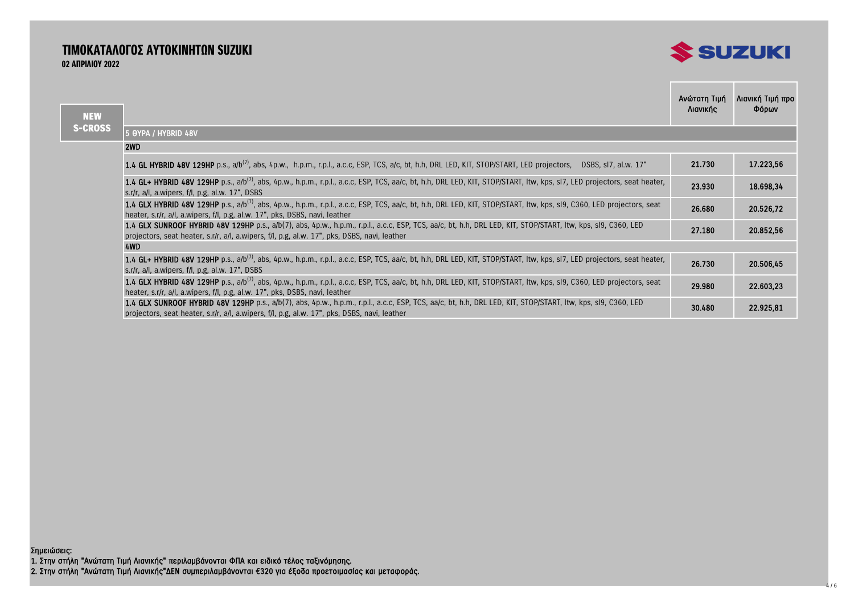# ΤΙΜΟΚΑΤΑΛΟΓΟΣ ΑΥΤΟΚΙΝΗΤΩΝ SUZUKI 02 ΑΠΡΙΛΙΟΥ 2022



the control of the control of the

| <b>NEW</b>     |                                                                                                                                                                                                                                                                    | Ανώτατη Τιμή<br>Λιανικής | Λιανική Τιμή προ<br>Φόρων |
|----------------|--------------------------------------------------------------------------------------------------------------------------------------------------------------------------------------------------------------------------------------------------------------------|--------------------------|---------------------------|
| <b>S-CROSS</b> | 5 OYPA / HYBRID 48V                                                                                                                                                                                                                                                |                          |                           |
|                | 2WD                                                                                                                                                                                                                                                                |                          |                           |
|                | 1.4 GL HYBRID 48V 129HP p.s., a/b <sup>(7)</sup> , abs, 4p.w., h.p.m., r.p.l., a.c.c, ESP, TCS, a/c, bt, h.h, DRL LED, KIT, STOP/START, LED projectors, DSBS, sl7, al.w. 17"                                                                                       | 21.730                   | 17.223,56                 |
|                | 1.4 GL+ HYBRID 48V 129HP p.s., a/b <sup>(7)</sup> , abs, 4p.w., h.p.m., r.p.l., a.c.c, ESP, TCS, aa/c, bt, h.h, DRL LED, KIT, STOP/START, Itw, kps, sl7, LED projectors, seat heater,<br>s.r/r, a/l, a.wipers, f/l, p.g, al.w. 17", DSBS                           | 23.930                   | 18.698,34                 |
|                | 1.4 GLX HYBRID 48V 129HP p.s., a/b <sup>(7)</sup> , abs, 4p.w., h.p.m., r.p.l., a.c.c, ESP, TCS, aa/c, bt, h.h, DRL LED, KIT, STOP/START, Itw, kps, sI9, C360, LED projectors, seat<br>heater, s.r/r, a/l, a.wipers, f/l, p.g, al.w. 17", pks, DSBS, navi, leather | 26.680                   | 20.526,72                 |
|                | 1.4 GLX SUNROOF HYBRID 48V 129HP p.s., a/b(7), abs, 4p.w., h.p.m., r.p.l., a.c.c, ESP, TCS, aa/c, bt, h.h, DRL LED, KIT, STOP/START, Itw, kps, sl9, C360, LED<br>projectors, seat heater, s.r/r, a/l, a.wipers, f/l, p.g, al.w. 17", pks, DSBS, navi, leather      | 27.180                   | 20.852,56                 |
|                | 4WD                                                                                                                                                                                                                                                                |                          |                           |
|                | 1.4 GL+ HYBRID 48V 129HP p.s., a/b <sup>(7)</sup> , abs, 4p.w., h.p.m., r.p.l., a.c.c, ESP, TCS, aa/c, bt, h.h, DRL LED, KIT, STOP/START, Itw, kps, sl7, LED projectors, seat heater,<br>s.r/r, a/l, a.wipers, f/l, p.g, al.w. 17", DSBS                           | 26.730                   | 20.506,45                 |
|                | 1.4 GLX HYBRID 48V 129HP p.s., a/b <sup>(7)</sup> , abs, 4p.w., h.p.m., r.p.l., a.c.c, ESP, TCS, aa/c, bt, h.h, DRL LED, KIT, STOP/START, Itw, kps, sI9, C360, LED projectors, seat<br>heater, s.r/r, a/l, a.wipers, f/l, p.g, al.w. 17", pks, DSBS, navi, leather | 29.980                   | 22.603,23                 |
|                | 1.4 GLX SUNROOF HYBRID 48V 129HP p.s., a/b(7), abs, 4p.w., h.p.m., r.p.l., a.c.c, ESP, TCS, aa/c, bt, h.h, DRL LED, KIT, STOP/START, Itw, kps, sI9, C360, LED<br>projectors, seat heater, s.r/r, a/l, a.wipers, f/l, p.g, al.w. 17", pks, DSBS, navi, leather      | 30.480                   | 22.925,81                 |

Σημειώσεις: 1. Στην στήλη "Ανώτατη Τιμή Λιανικής" περιλαμβάνονται ΦΠΑ και ειδικό τέλος ταξινόμησης. 2. Στην στήλη "Ανώτατη Τιμή Λιανικής"ΔΕΝ συμπεριλαμβάνονται €320 για έξοδα προετοιμασίας και μεταφοράς.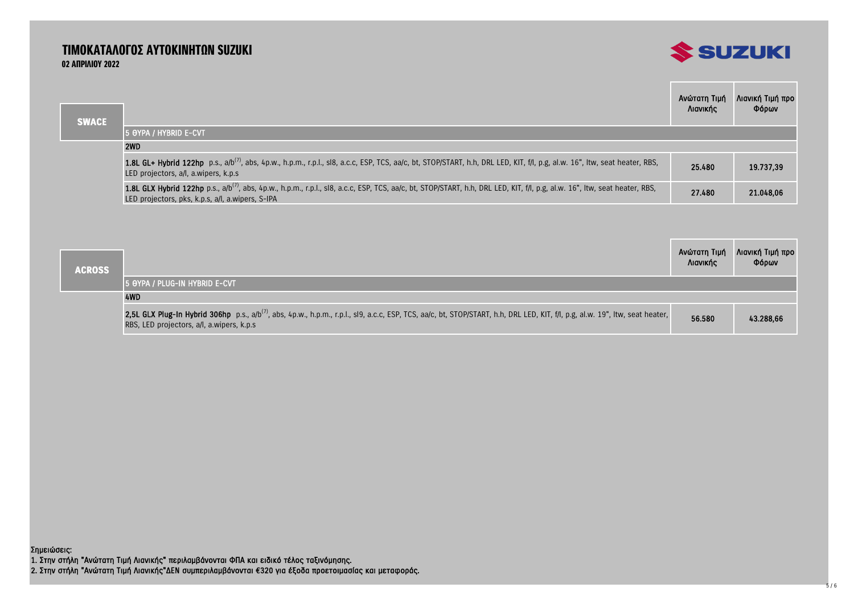# ΤΙΜΟΚΑΤΑΛΟΓΟΣ ΑΥΤΟΚΙΝΗΤΩΝ SUZUKI 02 ΑΠΡΙΛΙΟΥ 2022



| <b>SWACE</b> |                                                                                                                                                                                                                                             | Ανώτατη Τιμή<br>Λιανικής | Λιανική Τιμή προ<br>Φόρων |
|--------------|---------------------------------------------------------------------------------------------------------------------------------------------------------------------------------------------------------------------------------------------|--------------------------|---------------------------|
|              | 15 OYPA / HYBRID E-CVT                                                                                                                                                                                                                      |                          |                           |
|              | 2WD                                                                                                                                                                                                                                         |                          |                           |
|              | 1.8L GL+ Hybrid 122hp p.s., a/b <sup>(7)</sup> , abs, 4p.w., h.p.m., r.p.l., sl8, a.c.c, ESP, TCS, aa/c, bt, STOP/START, h.h, DRL LED, KIT, f/l, p.g, al.w. 16", Itw, seat heater, RBS,<br>LED projectors, a/l, a.wipers, k.p.s.            | 25.480                   | 19.737,39                 |
|              | 1.8L GLX Hybrid 122hp p.s., a/b <sup>(7)</sup> , abs, 4p.w., h.p.m., r.p.l., sl8, a.c.c, ESP, TCS, aa/c, bt, STOP/START, h.h, DRL LED, KIT, f/l, p.g, al.w. 16", Itw, seat heater, RBS,<br>LED projectors, pks, k.p.s, a/l, a.wipers, S-IPA | 27.480                   | 21.048.06                 |

| <b>ACROSS</b> | Ανώτατη Τιμή<br>Λιανικής                                                                                                                                                                                                                | Λιανική Τιμή προ<br>Φόρων |           |
|---------------|-----------------------------------------------------------------------------------------------------------------------------------------------------------------------------------------------------------------------------------------|---------------------------|-----------|
|               | 15 Aypa / Plug-in Hybrid E-cvt                                                                                                                                                                                                          |                           |           |
|               | 4WD                                                                                                                                                                                                                                     |                           |           |
|               | 2,5L GLX Plug-In Hybrid 306hp p.s., a/b <sup>(7)</sup> , abs, 4p.w., h.p.m., r.p.l., sl9, a.c.c, ESP, TCS, aa/c, bt, STOP/START, h.h, DRL LED, KIT, f/l, p.g, al.w. 19", ltw, seat heater,<br>RBS, LED projectors, a/l, a.wipers, k.p.s | 56.580                    | 43.288.66 |

1. Στην στήλη "Ανώτατη Τιμή Λιανικής" περιλαμβάνονται ΦΠΑ και ειδικό τέλος ταξινόμησης. 2. Στην στήλη "Ανώτατη Τιμή Λιανικής"ΔΕΝ συμπεριλαμβάνονται €320 για έξοδα προετοιμασίας και μεταφοράς. Σημειώσεις: